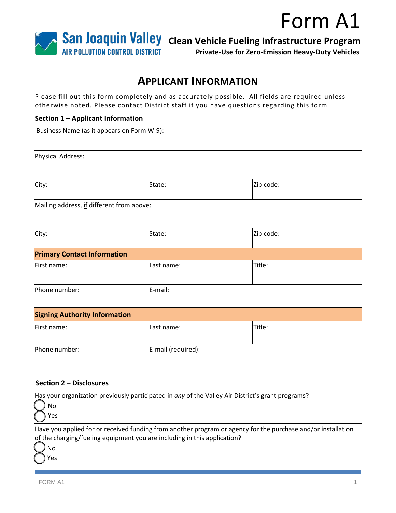## Form A1



**Private-Use for Zero-Emission Heavy-Duty Vehicles**

### **APPLICANT INFORMATION**

Please fill out this form completely and as accurately possible. All fields are required unless otherwise noted. Please contact District staff if you have questions regarding this form*.* 

#### **Section 1 – Applicant Information**

| Business Name (as it appears on Form W-9): |                    |           |
|--------------------------------------------|--------------------|-----------|
| Physical Address:                          |                    |           |
| City:                                      | State:             | Zip code: |
| Mailing address, if different from above:  |                    |           |
| City:                                      | State:             | Zip code: |
| <b>Primary Contact Information</b>         |                    |           |
| First name:                                | Last name:         | Title:    |
| Phone number:                              | E-mail:            |           |
| <b>Signing Authority Information</b>       |                    |           |
| First name:                                | Last name:         | Title:    |
| Phone number:                              | E-mail (required): |           |

### **Section 2 – Disclosures**

| [Has your organization previously participated in any of the Valley Air District's grant programs?<br>No<br>Yes                                                                          |
|------------------------------------------------------------------------------------------------------------------------------------------------------------------------------------------|
| Have you applied for or received funding from another program or agency for the purchase and/or installation<br>of the charging/fueling equipment you are including in this application? |
| No<br>Yes                                                                                                                                                                                |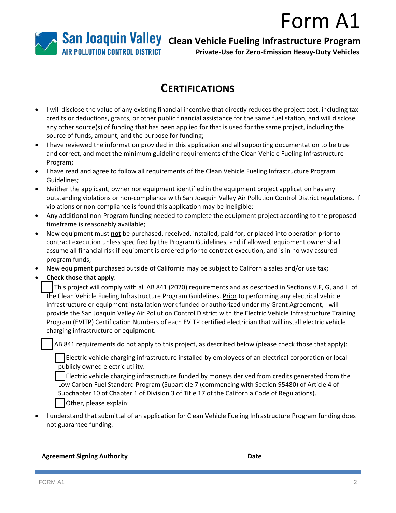# Form A1



**Private-Use for Zero-Emission Heavy-Duty Vehicles**

## **CERTIFICATIONS**

- I will disclose the value of any existing financial incentive that directly reduces the project cost, including tax credits or deductions, grants, or other public financial assistance for the same fuel station, and will disclose any other source(s) of funding that has been applied for that is used for the same project, including the source of funds, amount, and the purpose for funding;
- I have reviewed the information provided in this application and all supporting documentation to be true and correct, and meet the minimum guideline requirements of the Clean Vehicle Fueling Infrastructure Program;
- I have read and agree to follow all requirements of the Clean Vehicle Fueling Infrastructure Program Guidelines;
- Neither the applicant, owner nor equipment identified in the equipment project application has any outstanding violations or non-compliance with San Joaquin Valley Air Pollution Control District regulations. If violations or non-compliance is found this application may be ineligible;
- Any additional non-Program funding needed to complete the equipment project according to the proposed timeframe is reasonably available;
- New equipment must **not** be purchased, received, installed, paid for, or placed into operation prior to contract execution unless specified by the Program Guidelines, and if allowed, equipment owner shall assume all financial risk if equipment is ordered prior to contract execution, and is in no way assured program funds;
- New equipment purchased outside of California may be subject to California sales and/or use tax;
- **Check those that apply**:

☐ This project will comply with all AB 841 (2020) requirements and as described in Sections V.F, G, and H of the Clean Vehicle Fueling Infrastructure Program Guidelines. Prior to performing any electrical vehicle infrastructure or equipment installation work funded or authorized under my Grant Agreement, I will provide the San Joaquin Valley Air Pollution Control District with the Electric Vehicle Infrastructure Training Program (EVITP) Certification Numbers of each EVITP certified electrician that will install electric vehicle charging infrastructure or equipment.

AB 841 requirements do not apply to this project, as described below (please check those that apply):

☐ Electric vehicle charging infrastructure installed by employees of an electrical corporation or local publicly owned electric utility.

☐ Electric vehicle charging infrastructure funded by moneys derived from credits generated from the Low Carbon Fuel Standard Program (Subarticle 7 (commencing with Section 95480) of Article 4 of Subchapter 10 of Chapter 1 of Division 3 of Title 17 of the California Code of Regulations). Other, please explain:

• I understand that submittal of an application for Clean Vehicle Fueling Infrastructure Program funding does not guarantee funding.

**Agreement Signing Authority Date**